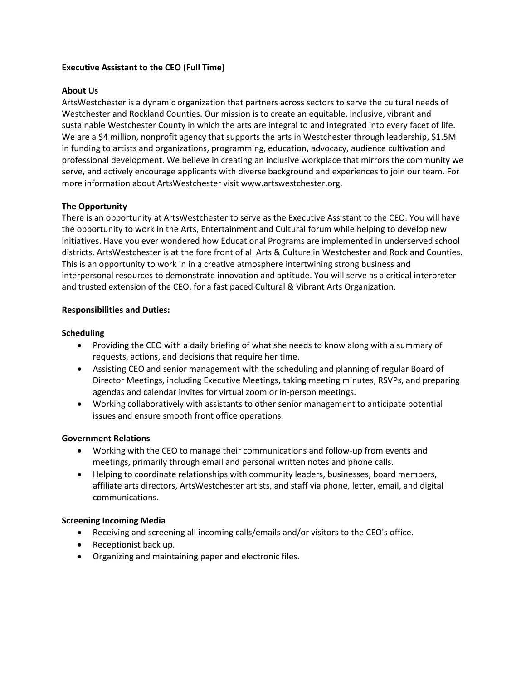### **Executive Assistant to the CEO (Full Time)**

### **About Us**

ArtsWestchester is a dynamic organization that partners across sectors to serve the cultural needs of Westchester and Rockland Counties. Our mission is to create an equitable, inclusive, vibrant and sustainable Westchester County in which the arts are integral to and integrated into every facet of life. We are a \$4 million, nonprofit agency that supports the arts in Westchester through leadership, \$1.5M in funding to artists and organizations, programming, education, advocacy, audience cultivation and professional development. We believe in creating an inclusive workplace that mirrors the community we serve, and actively encourage applicants with diverse background and experiences to join our team. For more information about ArtsWestchester visit www.artswestchester.org.

#### **The Opportunity**

There is an opportunity at ArtsWestchester to serve as the Executive Assistant to the CEO. You will have the opportunity to work in the Arts, Entertainment and Cultural forum while helping to develop new initiatives. Have you ever wondered how Educational Programs are implemented in underserved school districts. ArtsWestchester is at the fore front of all Arts & Culture in Westchester and Rockland Counties. This is an opportunity to work in in a creative atmosphere intertwining strong business and interpersonal resources to demonstrate innovation and aptitude. You will serve as a critical interpreter and trusted extension of the CEO, for a fast paced Cultural & Vibrant Arts Organization.

## **Responsibilities and Duties:**

## **Scheduling**

- Providing the CEO with a daily briefing of what she needs to know along with a summary of requests, actions, and decisions that require her time.
- Assisting CEO and senior management with the scheduling and planning of regular Board of Director Meetings, including Executive Meetings, taking meeting minutes, RSVPs, and preparing agendas and calendar invites for virtual zoom or in-person meetings.
- Working collaboratively with assistants to other senior management to anticipate potential issues and ensure smooth front office operations.

#### **Government Relations**

- Working with the CEO to manage their communications and follow-up from events and meetings, primarily through email and personal written notes and phone calls.
- Helping to coordinate relationships with community leaders, businesses, board members, affiliate arts directors, ArtsWestchester artists, and staff via phone, letter, email, and digital communications.

#### **Screening Incoming Media**

- Receiving and screening all incoming calls/emails and/or visitors to the CEO's office.
- Receptionist back up.
- Organizing and maintaining paper and electronic files.